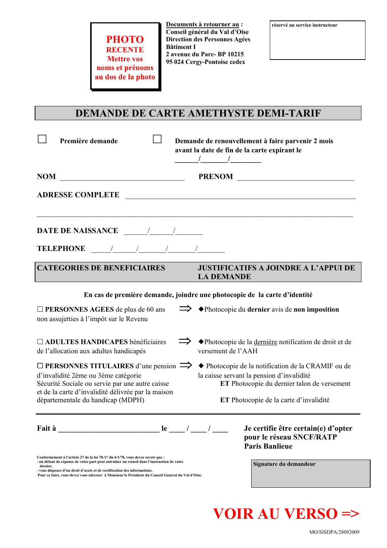| <b>PHOTO</b>       |
|--------------------|
| <b>RECENTE</b>     |
| <b>Mettre vos</b>  |
| noms et prénoms    |
| au dos de la photo |

Documents à retourner au : Conseil général du Val d'Oise Direction des Personnes Agées **Bâtiment I** 2 avenue du Parc-BP 10215 95 024 Cergy-Pontoise cedex

### DEMANDE DE CARTE AMETHYSTE DEMI-TARIF

| Première demande                                                                                                                                                                                                                                                                                                                                                                                                        | Demande de renouvellement à faire parvenir 2 mois<br>avant la date de fin de la carte expirant le<br>$\frac{1}{2}$ $\frac{1}{2}$ $\frac{1}{2}$ $\frac{1}{2}$ $\frac{1}{2}$ $\frac{1}{2}$ $\frac{1}{2}$ $\frac{1}{2}$ $\frac{1}{2}$ $\frac{1}{2}$ $\frac{1}{2}$ $\frac{1}{2}$ $\frac{1}{2}$ $\frac{1}{2}$ $\frac{1}{2}$ $\frac{1}{2}$ $\frac{1}{2}$ $\frac{1}{2}$ $\frac{1}{2}$ $\frac{1}{2}$ $\frac{1}{2}$ $\frac{1}{2}$ |
|-------------------------------------------------------------------------------------------------------------------------------------------------------------------------------------------------------------------------------------------------------------------------------------------------------------------------------------------------------------------------------------------------------------------------|--------------------------------------------------------------------------------------------------------------------------------------------------------------------------------------------------------------------------------------------------------------------------------------------------------------------------------------------------------------------------------------------------------------------------|
| $\begin{picture}(150,10) \put(0,0){\dashbox{0.5}(10,0){ }} \put(150,0){\circle{10}} \put(150,0){\circle{10}} \put(150,0){\circle{10}} \put(150,0){\circle{10}} \put(150,0){\circle{10}} \put(150,0){\circle{10}} \put(150,0){\circle{10}} \put(150,0){\circle{10}} \put(150,0){\circle{10}} \put(150,0){\circle{10}} \put(150,0){\circle{10}} \put(150,0){\circle{10}} \put(150,$                                       |                                                                                                                                                                                                                                                                                                                                                                                                                          |
|                                                                                                                                                                                                                                                                                                                                                                                                                         | ADRESSE COMPLETE <b>ADRESSE</b>                                                                                                                                                                                                                                                                                                                                                                                          |
|                                                                                                                                                                                                                                                                                                                                                                                                                         |                                                                                                                                                                                                                                                                                                                                                                                                                          |
| TELEPHONE $\frac{1}{\sqrt{1-\frac{1}{2}}}\frac{1}{\sqrt{1-\frac{1}{2}}}\frac{1}{\sqrt{1-\frac{1}{2}}}\frac{1}{\sqrt{1-\frac{1}{2}}}\frac{1}{\sqrt{1-\frac{1}{2}}}\frac{1}{\sqrt{1-\frac{1}{2}}}\frac{1}{\sqrt{1-\frac{1}{2}}}\frac{1}{\sqrt{1-\frac{1}{2}}}\frac{1}{\sqrt{1-\frac{1}{2}}}\frac{1}{\sqrt{1-\frac{1}{2}}}\frac{1}{\sqrt{1-\frac{1}{2}}}\frac{1}{\sqrt{1-\frac{1}{2}}}\frac{1}{\sqrt{1-\frac{1}{2}}}\frac$ |                                                                                                                                                                                                                                                                                                                                                                                                                          |
| <b>CATEGORIES DE BENEFICIAIRES</b>                                                                                                                                                                                                                                                                                                                                                                                      | <b>JUSTIFICATIFS A JOINDRE A L'APPUI DE</b><br><b>LA DEMANDE</b>                                                                                                                                                                                                                                                                                                                                                         |
|                                                                                                                                                                                                                                                                                                                                                                                                                         | En cas de première demande, joindre une photocopie de la carte d'identité                                                                                                                                                                                                                                                                                                                                                |
| $\Box$ PERSONNES AGEES de plus de 60 ans<br>non assujetties à l'impôt sur le Revenu                                                                                                                                                                                                                                                                                                                                     | $\implies$ $\blacktriangleright$ Photocopie du dernier avis de non imposition                                                                                                                                                                                                                                                                                                                                            |
| <b>IN ADULTES HANDICAPES bénéficiaires</b><br>de l'allocation aux adultes handicapés                                                                                                                                                                                                                                                                                                                                    | A Photocopie de la dernière notification de droit et de<br>versement de l'AAH                                                                                                                                                                                                                                                                                                                                            |
| $\Box$ PERSONNES TITULAIRES d'une pension $\Rightarrow$<br>d'invalidité 2ème ou 3ème catégorie<br>Sécurité Sociale ou servie par une autre caisse<br>et de la carte d'invalidité délivrée par la maison                                                                                                                                                                                                                 | ◆ Photocopie de la notification de la CRAMIF ou de<br>la caisse servant la pension d'invalidité<br>ET Photocopie du dernier talon de versement                                                                                                                                                                                                                                                                           |
| départementale du handicap (MDPH)                                                                                                                                                                                                                                                                                                                                                                                       | ET Photocopie de la carte d'invalidité                                                                                                                                                                                                                                                                                                                                                                                   |
|                                                                                                                                                                                                                                                                                                                                                                                                                         | Je certifie être certain(e) d'opter<br>pour le réseau SNCF/RATP<br><b>Paris Banlieue</b>                                                                                                                                                                                                                                                                                                                                 |
| Conformément à l'article 27 de la loi 78-17 du 6/1/78, vous devez savoir que :<br>- un défaut de réponse de votre part peut entraîner un retard dans l'instruction de votre<br>dossier,                                                                                                                                                                                                                                 | Signature du demandeur                                                                                                                                                                                                                                                                                                                                                                                                   |

- vous disposez d'un droit d'accès et de rectification des informations.<br>Pour ce faire, vous devez vous adresser à Monsieur le Président du Conseil Général du Val d'Oise.

# **VOIR AU VERSO =>**